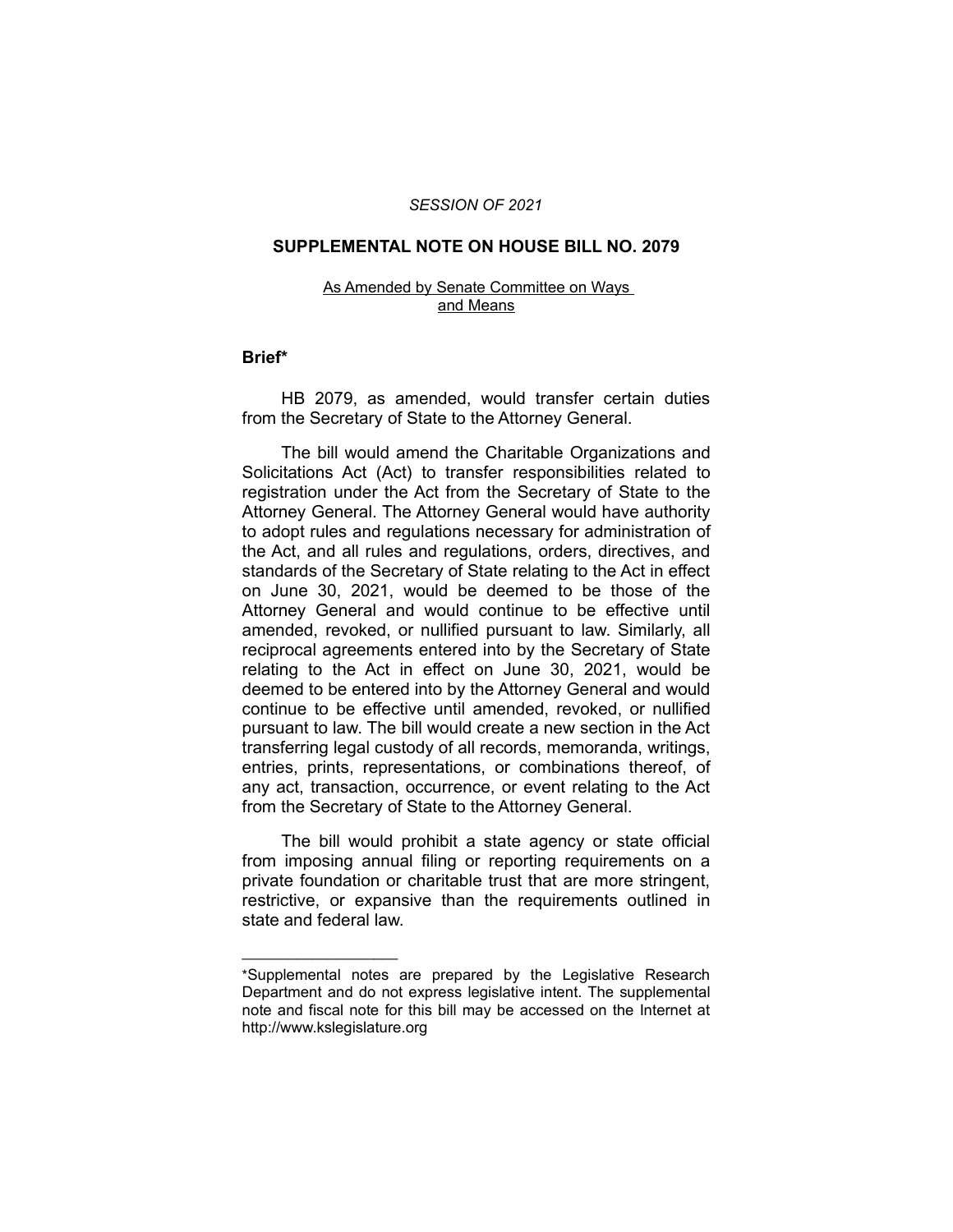### *SESSION OF 2021*

### **SUPPLEMENTAL NOTE ON HOUSE BILL NO. 2079**

#### As Amended by Senate Committee on Ways and Means

### **Brief\***

HB 2079, as amended, would transfer certain duties from the Secretary of State to the Attorney General.

The bill would amend the Charitable Organizations and Solicitations Act (Act) to transfer responsibilities related to registration under the Act from the Secretary of State to the Attorney General. The Attorney General would have authority to adopt rules and regulations necessary for administration of the Act, and all rules and regulations, orders, directives, and standards of the Secretary of State relating to the Act in effect on June 30, 2021, would be deemed to be those of the Attorney General and would continue to be effective until amended, revoked, or nullified pursuant to law. Similarly, all reciprocal agreements entered into by the Secretary of State relating to the Act in effect on June 30, 2021, would be deemed to be entered into by the Attorney General and would continue to be effective until amended, revoked, or nullified pursuant to law. The bill would create a new section in the Act transferring legal custody of all records, memoranda, writings, entries, prints, representations, or combinations thereof, of any act, transaction, occurrence, or event relating to the Act from the Secretary of State to the Attorney General.

The bill would prohibit a state agency or state official from imposing annual filing or reporting requirements on a private foundation or charitable trust that are more stringent, restrictive, or expansive than the requirements outlined in state and federal law.

 $\overline{\phantom{a}}$  , where  $\overline{\phantom{a}}$  , where  $\overline{\phantom{a}}$ 

<sup>\*</sup>Supplemental notes are prepared by the Legislative Research Department and do not express legislative intent. The supplemental note and fiscal note for this bill may be accessed on the Internet at http://www.kslegislature.org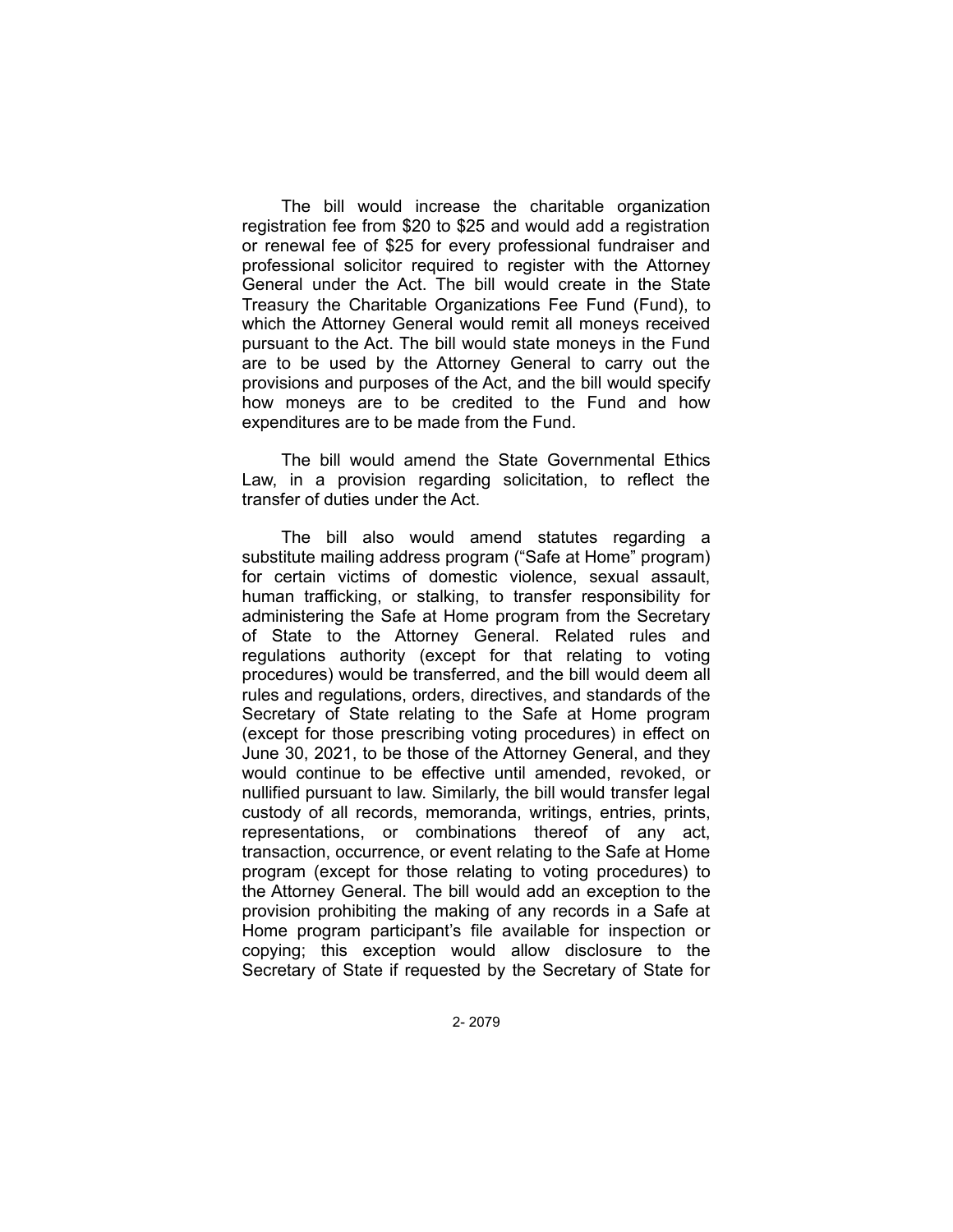The bill would increase the charitable organization registration fee from \$20 to \$25 and would add a registration or renewal fee of \$25 for every professional fundraiser and professional solicitor required to register with the Attorney General under the Act. The bill would create in the State Treasury the Charitable Organizations Fee Fund (Fund), to which the Attorney General would remit all moneys received pursuant to the Act. The bill would state moneys in the Fund are to be used by the Attorney General to carry out the provisions and purposes of the Act, and the bill would specify how moneys are to be credited to the Fund and how expenditures are to be made from the Fund.

The bill would amend the State Governmental Ethics Law, in a provision regarding solicitation, to reflect the transfer of duties under the Act.

The bill also would amend statutes regarding a substitute mailing address program ("Safe at Home" program) for certain victims of domestic violence, sexual assault, human trafficking, or stalking, to transfer responsibility for administering the Safe at Home program from the Secretary of State to the Attorney General. Related rules and regulations authority (except for that relating to voting procedures) would be transferred, and the bill would deem all rules and regulations, orders, directives, and standards of the Secretary of State relating to the Safe at Home program (except for those prescribing voting procedures) in effect on June 30, 2021, to be those of the Attorney General, and they would continue to be effective until amended, revoked, or nullified pursuant to law. Similarly, the bill would transfer legal custody of all records, memoranda, writings, entries, prints, representations, or combinations thereof of any act, transaction, occurrence, or event relating to the Safe at Home program (except for those relating to voting procedures) to the Attorney General. The bill would add an exception to the provision prohibiting the making of any records in a Safe at Home program participant's file available for inspection or copying; this exception would allow disclosure to the Secretary of State if requested by the Secretary of State for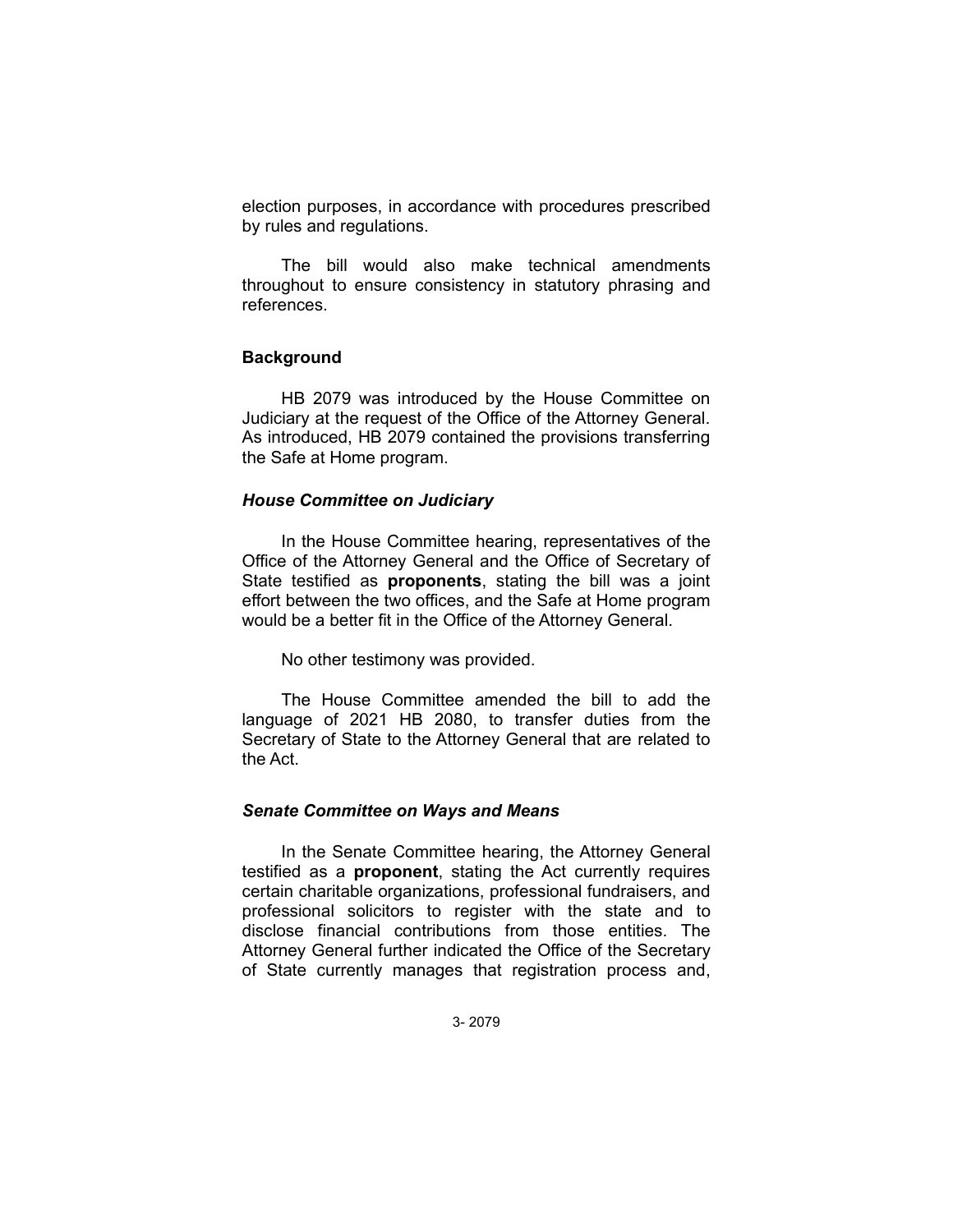election purposes, in accordance with procedures prescribed by rules and regulations.

The bill would also make technical amendments throughout to ensure consistency in statutory phrasing and references.

## **Background**

HB 2079 was introduced by the House Committee on Judiciary at the request of the Office of the Attorney General. As introduced, HB 2079 contained the provisions transferring the Safe at Home program.

## *House Committee on Judiciary*

In the House Committee hearing, representatives of the Office of the Attorney General and the Office of Secretary of State testified as **proponents**, stating the bill was a joint effort between the two offices, and the Safe at Home program would be a better fit in the Office of the Attorney General.

No other testimony was provided.

The House Committee amended the bill to add the language of 2021 HB 2080, to transfer duties from the Secretary of State to the Attorney General that are related to the Act.

### *Senate Committee on Ways and Means*

In the Senate Committee hearing, the Attorney General testified as a **proponent**, stating the Act currently requires certain charitable organizations, professional fundraisers, and professional solicitors to register with the state and to disclose financial contributions from those entities. The Attorney General further indicated the Office of the Secretary of State currently manages that registration process and,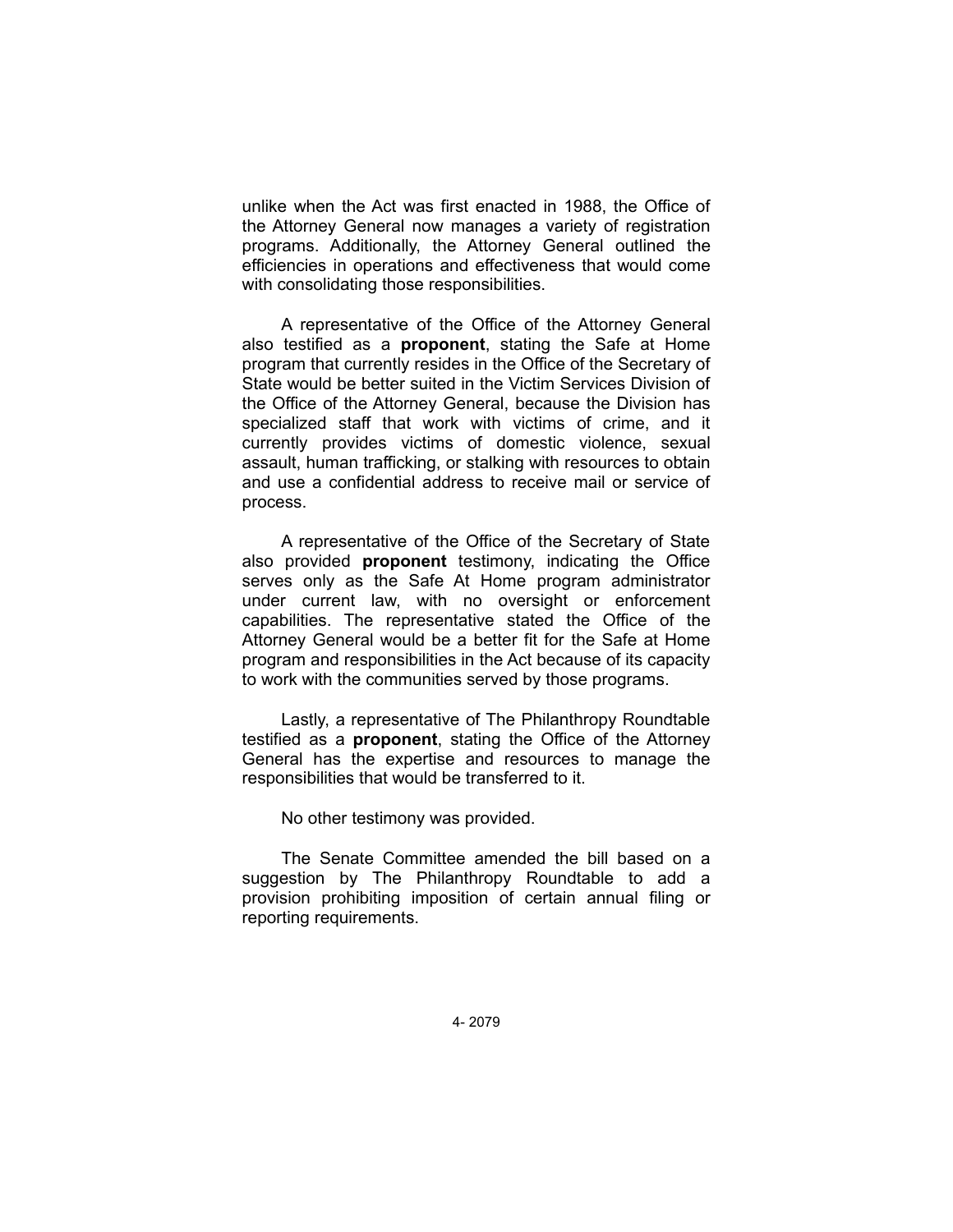unlike when the Act was first enacted in 1988, the Office of the Attorney General now manages a variety of registration programs. Additionally, the Attorney General outlined the efficiencies in operations and effectiveness that would come with consolidating those responsibilities.

A representative of the Office of the Attorney General also testified as a **proponent**, stating the Safe at Home program that currently resides in the Office of the Secretary of State would be better suited in the Victim Services Division of the Office of the Attorney General, because the Division has specialized staff that work with victims of crime, and it currently provides victims of domestic violence, sexual assault, human trafficking, or stalking with resources to obtain and use a confidential address to receive mail or service of process.

A representative of the Office of the Secretary of State also provided **proponent** testimony, indicating the Office serves only as the Safe At Home program administrator under current law, with no oversight or enforcement capabilities. The representative stated the Office of the Attorney General would be a better fit for the Safe at Home program and responsibilities in the Act because of its capacity to work with the communities served by those programs.

Lastly, a representative of The Philanthropy Roundtable testified as a **proponent**, stating the Office of the Attorney General has the expertise and resources to manage the responsibilities that would be transferred to it.

No other testimony was provided.

The Senate Committee amended the bill based on a suggestion by The Philanthropy Roundtable to add a provision prohibiting imposition of certain annual filing or reporting requirements.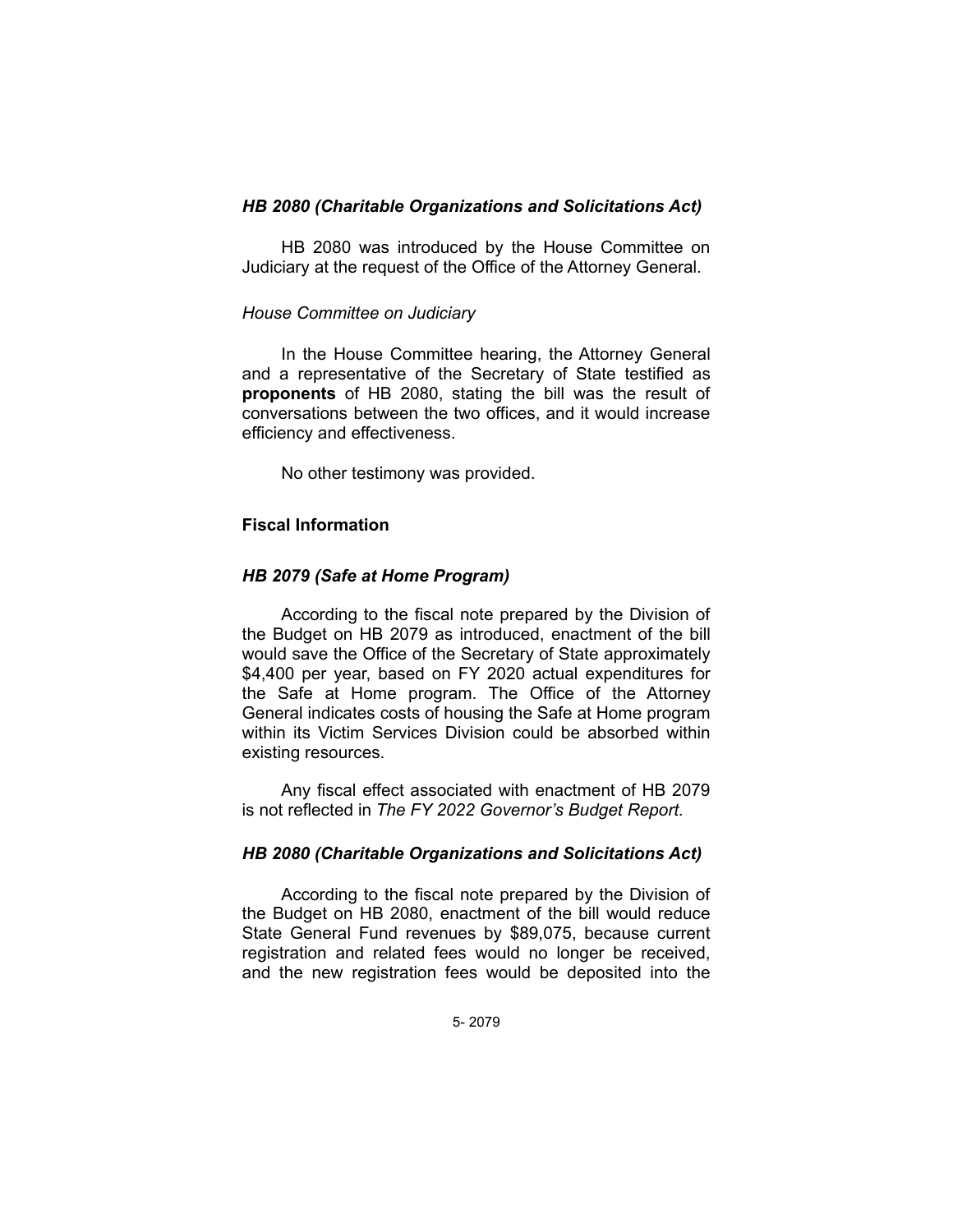# *HB 2080 (Charitable Organizations and Solicitations Act)*

HB 2080 was introduced by the House Committee on Judiciary at the request of the Office of the Attorney General.

## *House Committee on Judiciary*

In the House Committee hearing, the Attorney General and a representative of the Secretary of State testified as **proponents** of HB 2080, stating the bill was the result of conversations between the two offices, and it would increase efficiency and effectiveness.

No other testimony was provided.

# **Fiscal Information**

## *HB 2079 (Safe at Home Program)*

According to the fiscal note prepared by the Division of the Budget on HB 2079 as introduced, enactment of the bill would save the Office of the Secretary of State approximately \$4,400 per year, based on FY 2020 actual expenditures for the Safe at Home program. The Office of the Attorney General indicates costs of housing the Safe at Home program within its Victim Services Division could be absorbed within existing resources.

Any fiscal effect associated with enactment of HB 2079 is not reflected in *The FY 2022 Governor's Budget Report*.

# *HB 2080 (Charitable Organizations and Solicitations Act)*

According to the fiscal note prepared by the Division of the Budget on HB 2080, enactment of the bill would reduce State General Fund revenues by \$89,075, because current registration and related fees would no longer be received, and the new registration fees would be deposited into the